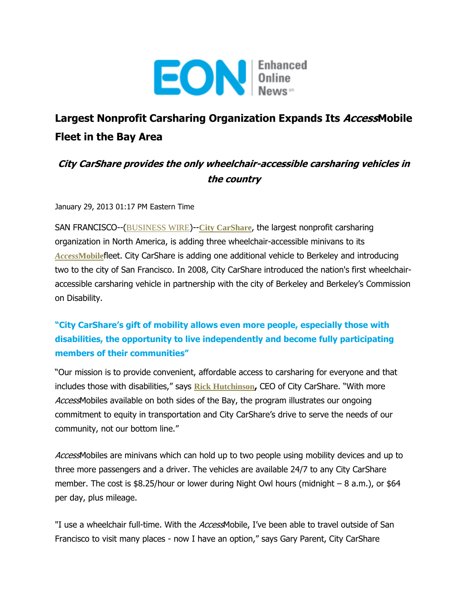

## **Largest Nonprofit Carsharing Organization Expands Its AccessMobile Fleet in the Bay Area**

## **City CarShare provides the only wheelchair-accessible carsharing vehicles in the country**

January 29, 2013 01:17 PM Eastern Time

SAN FRANCISCO--([BUSINESS WIRE](http://www.businesswire.com/))--**[City CarShare](http://cts.businesswire.com/ct/CT?id=smartlink&url=https%3A%2F%2Fwww.citycarshare.org%2F&esheet=50546339&lan=en-US&anchor=City+CarShare&index=1&md5=4b044af4c4a1ef1b9802881d19de244f)**, the largest nonprofit carsharing organization in North America, is adding three wheelchair-accessible minivans to its *Access***[Mobile](http://cts.businesswire.com/ct/CT?id=smartlink&url=https%3A%2F%2Fwww.citycarshare.org%2Fplans-pricing%2Findividualshouseholds%2Fplan-details%2Faccess-mobile%2F&esheet=50546339&lan=en-US&anchor=AccessMobile&index=2&md5=d98eff4ecf2c7a595539c92b852169d5)**fleet. City CarShare is adding one additional vehicle to Berkeley and introducing two to the city of San Francisco. In 2008, City CarShare introduced the nation's first wheelchairaccessible carsharing vehicle in partnership with the city of Berkeley and Berkeley's Commission on Disability.

## **"City CarShare's gift of mobility allows even more people, especially those with disabilities, the opportunity to live independently and become fully participating members of their communities"**

"Our mission is to provide convenient, affordable access to carsharing for everyone and that includes those with disabilities," says **[Rick Hutchinson](http://cts.businesswire.com/ct/CT?id=smartlink&url=https%3A%2F%2Fwww.citycarshare.org%2Fpress%2Fmultimedia%2F&esheet=50546339&lan=en-US&anchor=Rick+Hutchinson&index=3&md5=8e56ecf8f1b4b03f6b72e5332f604723),** CEO of City CarShare. "With more AccessMobiles available on both sides of the Bay, the program illustrates our ongoing commitment to equity in transportation and City CarShare's drive to serve the needs of our community, not our bottom line."

AccessMobiles are minivans which can hold up to two people using mobility devices and up to three more passengers and a driver. The vehicles are available 24/7 to any City CarShare member. The cost is \$8.25/hour or lower during Night Owl hours (midnight – 8 a.m.), or \$64 per day, plus mileage.

"I use a wheelchair full-time. With the AccessMobile, I've been able to travel outside of San Francisco to visit many places - now I have an option," says Gary Parent, City CarShare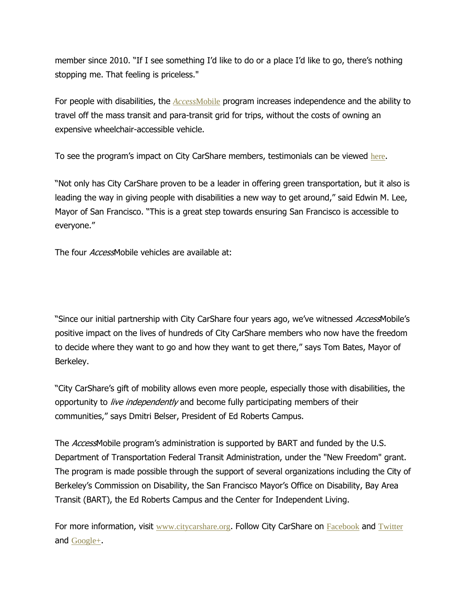member since 2010. "If I see something I'd like to do or a place I'd like to go, there's nothing stopping me. That feeling is priceless."

For people with disabilities, the *Access*[Mobile](http://cts.businesswire.com/ct/CT?id=smartlink&url=https%3A%2F%2Fwww.citycarshare.org%2Fplans-pricing%2Findividualshouseholds%2Fplan-details%2Faccess-mobile%2F&esheet=50546339&lan=en-US&anchor=AccessMobile&index=4&md5=8fa43f6d19e45adc3b54e941faddf148) program increases independence and the ability to travel off the mass transit and para-transit grid for trips, without the costs of owning an expensive wheelchair-accessible vehicle.

To see the program's impact on City CarShare members, testimonials can be viewed [here](http://cts.businesswire.com/ct/CT?id=smartlink&url=http%3A%2F%2Fwww.youtube.com%2Fwatch%3Fv%3D4ImRhvht6KU&esheet=50546339&lan=en-US&anchor=here&index=5&md5=2d857884c04fc3ac812da6341a5c3050).

"Not only has City CarShare proven to be a leader in offering green transportation, but it also is leading the way in giving people with disabilities a new way to get around," said Edwin M. Lee, Mayor of San Francisco. "This is a great step towards ensuring San Francisco is accessible to everyone."

The four *Access* Mobile vehicles are available at:

"Since our initial partnership with City CarShare four years ago, we've witnessed AccessMobile's positive impact on the lives of hundreds of City CarShare members who now have the freedom to decide where they want to go and how they want to get there," says Tom Bates, Mayor of Berkeley.

"City CarShare's gift of mobility allows even more people, especially those with disabilities, the opportunity to live independently and become fully participating members of their communities," says Dmitri Belser, President of Ed Roberts Campus.

The *Access* Mobile program's administration is supported by BART and funded by the U.S. Department of Transportation Federal Transit Administration, under the "New Freedom" grant. The program is made possible through the support of several organizations including the City of Berkeley's Commission on Disability, the San Francisco Mayor's Office on Disability, Bay Area Transit (BART), the Ed Roberts Campus and the Center for Independent Living.

For more information, visit [www.citycarshare.org](http://cts.businesswire.com/ct/CT?id=smartlink&url=http%3A%2F%2Fwww.citycarshare.org%2F&esheet=50546339&lan=en-US&anchor=www.citycarshare.org&index=6&md5=9fa100acbf46d76be893d5ebdfa1711a). Follow City CarShare on [Facebook](http://cts.businesswire.com/ct/CT?id=smartlink&url=https%3A%2F%2Fwww.facebook.com%2FCityCarShare&esheet=50546339&lan=en-US&anchor=Facebook&index=7&md5=4ca06abec686af7fdef1ac7af345bea7) and [Twitter](http://cts.businesswire.com/ct/CT?id=smartlink&url=http%3A%2F%2Ftwitter.com%2F%23%21%2FcityCarShare&esheet=50546339&lan=en-US&anchor=Twitter&index=8&md5=ef279af45e20eee1ac188ff62f087b33) and [Google+](http://cts.businesswire.com/ct/CT?id=smartlink&url=https%3A%2F%2Fplus.google.com%2F104119874132417405282%2Fposts&esheet=50546339&lan=en-US&anchor=Google%2B&index=9&md5=ec88c80291a36bdb6cda17a0e77fdf59).